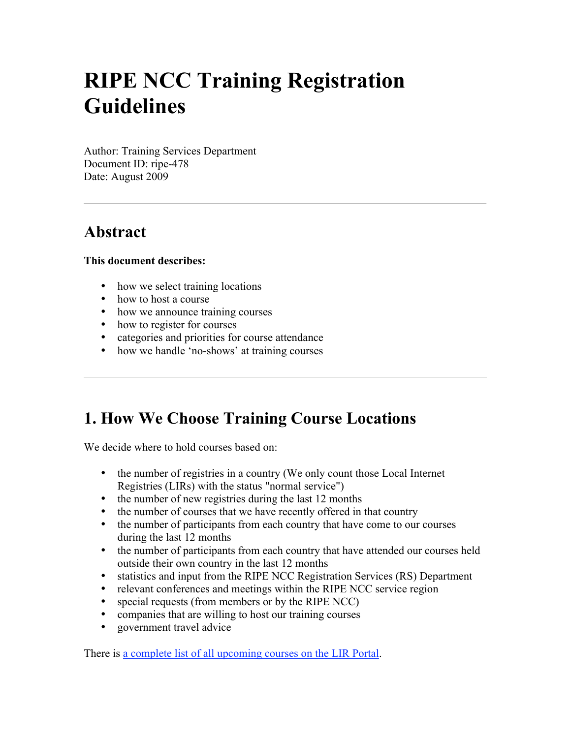# **RIPE NCC Training Registration Guidelines**

Author: Training Services Department Document ID: ripe-478 Date: August 2009

## **Abstract**

#### **This document describes:**

- how we select training locations
- how to host a course
- how we announce training courses
- how to register for courses
- categories and priorities for course attendance
- how we handle 'no-shows' at training courses

# **1. How We Choose Training Course Locations**

We decide where to hold courses based on:

- the number of registries in a country (We only count those Local Internet Registries (LIRs) with the status "normal service")
- the number of new registries during the last 12 months
- the number of courses that we have recently offered in that country
- the number of participants from each country that have come to our courses during the last 12 months
- the number of participants from each country that have attended our courses held outside their own country in the last 12 months
- statistics and input from the RIPE NCC Registration Services (RS) Department
- relevant conferences and meetings within the RIPE NCC service region
- special requests (from members or by the RIPE NCC)
- companies that are willing to host our training courses
- government travel advice

There is a complete list of all upcoming courses on the LIR Portal.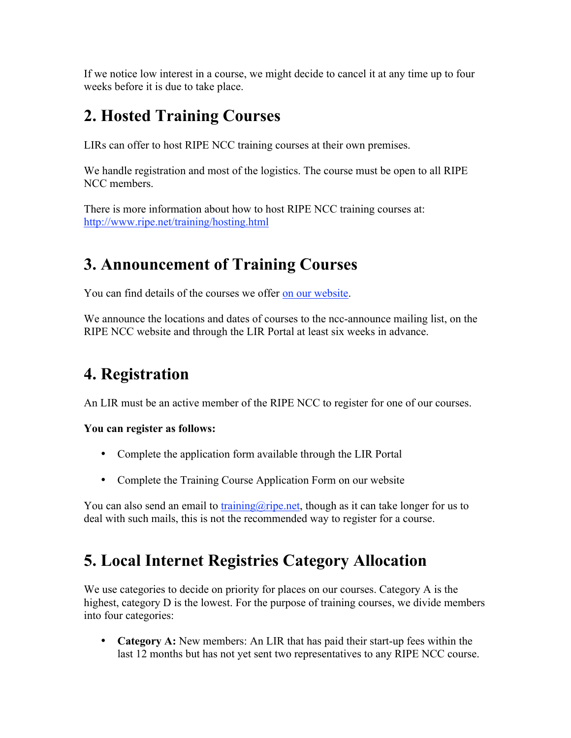If we notice low interest in a course, we might decide to cancel it at any time up to four weeks before it is due to take place.

# **2. Hosted Training Courses**

LIRs can offer to host RIPE NCC training courses at their own premises.

We handle registration and most of the logistics. The course must be open to all RIPE NCC members.

There is more information about how to host RIPE NCC training courses at: http://www.ripe.net/training/hosting.html

# **3. Announcement of Training Courses**

You can find details of the courses we offer on our website.

We announce the locations and dates of courses to the ncc-announce mailing list, on the RIPE NCC website and through the LIR Portal at least six weeks in advance.

# **4. Registration**

An LIR must be an active member of the RIPE NCC to register for one of our courses.

#### **You can register as follows:**

- Complete the application form available through the LIR Portal
- Complete the Training Course Application Form on our website

You can also send an email to training  $\widehat{\omega}$  ripe.net, though as it can take longer for us to deal with such mails, this is not the recommended way to register for a course.

# **5. Local Internet Registries Category Allocation**

We use categories to decide on priority for places on our courses. Category A is the highest, category D is the lowest. For the purpose of training courses, we divide members into four categories:

• **Category A:** New members: An LIR that has paid their start-up fees within the last 12 months but has not yet sent two representatives to any RIPE NCC course.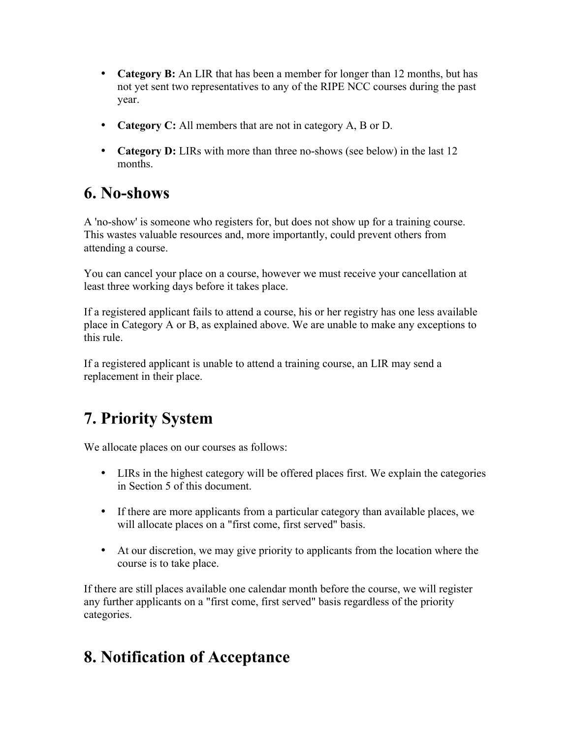- **Category B:** An LIR that has been a member for longer than 12 months, but has not yet sent two representatives to any of the RIPE NCC courses during the past year.
- **Category C:** All members that are not in category A, B or D.
- **Category D:** LIRs with more than three no-shows (see below) in the last 12 months.

## **6. No-shows**

A 'no-show' is someone who registers for, but does not show up for a training course. This wastes valuable resources and, more importantly, could prevent others from attending a course.

You can cancel your place on a course, however we must receive your cancellation at least three working days before it takes place.

If a registered applicant fails to attend a course, his or her registry has one less available place in Category A or B, as explained above. We are unable to make any exceptions to this rule.

If a registered applicant is unable to attend a training course, an LIR may send a replacement in their place.

# **7. Priority System**

We allocate places on our courses as follows:

- LIRs in the highest category will be offered places first. We explain the categories in Section 5 of this document.
- If there are more applicants from a particular category than available places, we will allocate places on a "first come, first served" basis.
- At our discretion, we may give priority to applicants from the location where the course is to take place.

If there are still places available one calendar month before the course, we will register any further applicants on a "first come, first served" basis regardless of the priority categories.

# **8. Notification of Acceptance**